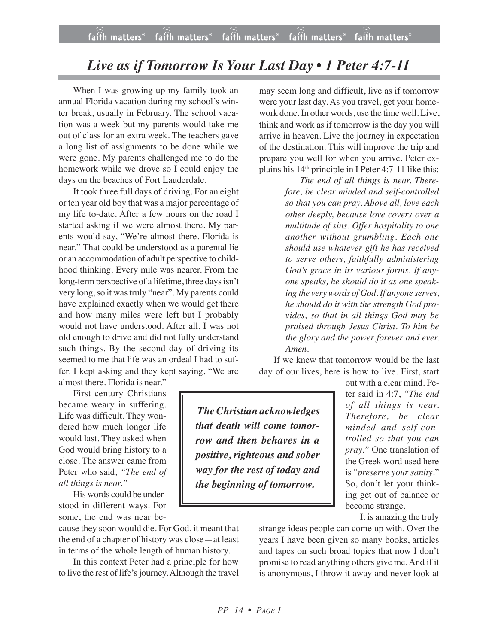## *Live as if Tomorrow Is Your Last Day • 1 Peter 4:7-11*

When I was growing up my family took an annual Florida vacation during my school's winter break, usually in February. The school vacation was a week but my parents would take me out of class for an extra week. The teachers gave a long list of assignments to be done while we were gone. My parents challenged me to do the homework while we drove so I could enjoy the days on the beaches of Fort Lauderdale.

It took three full days of driving. For an eight or ten year old boy that was a major percentage of my life to-date. After a few hours on the road I started asking if we were almost there. My parents would say, "We're almost there. Florida is near." That could be understood as a parental lie or an accommodation of adult perspective to childhood thinking. Every mile was nearer. From the long-term perspective of a lifetime, three days isn't very long, so it was truly "near". My parents could have explained exactly when we would get there and how many miles were left but I probably would not have understood. After all, I was not old enough to drive and did not fully understand such things. By the second day of driving its seemed to me that life was an ordeal I had to suffer. I kept asking and they kept saying, "We are

almost there. Florida is near."

First century Christians became weary in suffering. Life was difficult. They wondered how much longer life would last. They asked when God would bring history to a close. The answer came from Peter who said, *"The end of all things is near."*

His words could be understood in different ways. For some, the end was near be-

cause they soon would die. For God, it meant that the end of a chapter of history was close—at least in terms of the whole length of human history.

In this context Peter had a principle for how to live the rest of life's journey. Although the travel may seem long and difficult, live as if tomorrow were your last day. As you travel, get your homework done. In other words, use the time well. Live, think and work as if tomorrow is the day you will arrive in heaven. Live the journey in expectation of the destination. This will improve the trip and prepare you well for when you arrive. Peter explains his 14th principle in I Peter 4:7-11 like this:

> *The end of all things is near. Therefore, be clear minded and self-controlled so that you can pray. Above all, love each other deeply, because love covers over a multitude of sins. Offer hospitality to one another without grumbling. Each one should use whatever gift he has received to serve others, faithfully administering God's grace in its various forms. If anyone speaks, he should do it as one speaking the verywords of God.If anyone serves, he should do it with the strength God provides, so that in all things God may be praised through Jesus Christ. To him be the glory and the power forever and ever. Amen.*

If we knew that tomorrow would be the last day of our lives, here is how to live. First, start

*The Christian acknowledges that death will come tomorrow and then behaves in a positive, righteous and sober way for the rest of today and the beginning of tomorrow.*

out with a clear mind. Peter said in 4:7, *"The end of all things is near. Therefore, be clear minded and self-controlled so that you can pray."* One translation of the Greek word used here is "*preserve your sanity*." So, don't let your thinking get out of balance or become strange.

It is amazing the truly

strange ideas people can come up with. Over the years I have been given so many books, articles and tapes on such broad topics that now I don't promise to read anything others give me. And if it is anonymous, I throw it away and never look at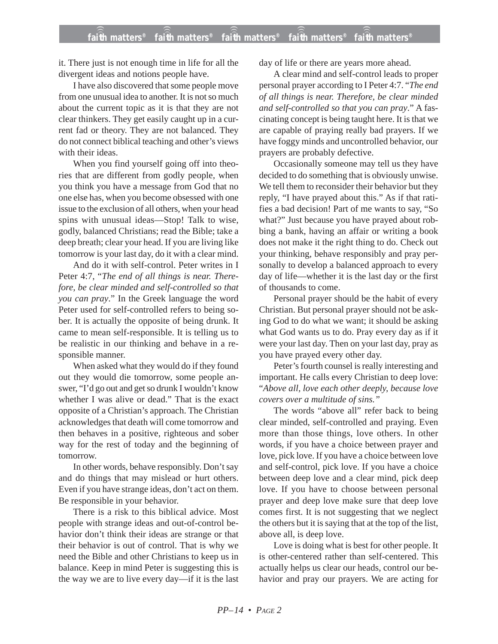it. There just is not enough time in life for all the divergent ideas and notions people have.

I have also discovered that some people move from one unusual idea to another. It is not so much about the current topic as it is that they are not clear thinkers. They get easily caught up in a current fad or theory. They are not balanced. They do not connect biblical teaching and other's views with their ideas.

When you find yourself going off into theories that are different from godly people, when you think you have a message from God that no one else has, when you become obsessed with one issue to the exclusion of all others, when your head spins with unusual ideas—Stop! Talk to wise, godly, balanced Christians; read the Bible; take a deep breath; clear your head. If you are living like tomorrow is your last day, do it with a clear mind.

And do it with self-control. Peter writes in I Peter 4:7, "*The end of all things is near. Therefore, be clear minded and self-controlled so that you can pray*." In the Greek language the word Peter used for self-controlled refers to being sober. It is actually the opposite of being drunk. It came to mean self-responsible. It is telling us to be realistic in our thinking and behave in a responsible manner.

When asked what they would do if they found out they would die tomorrow, some people answer, "I'd go out and get so drunk I wouldn't know whether I was alive or dead." That is the exact opposite of a Christian's approach. The Christian acknowledges that death will come tomorrow and then behaves in a positive, righteous and sober way for the rest of today and the beginning of tomorrow.

In other words, behave responsibly. Don't say and do things that may mislead or hurt others. Even if you have strange ideas, don't act on them. Be responsible in your behavior.

There is a risk to this biblical advice. Most people with strange ideas and out-of-control behavior don't think their ideas are strange or that their behavior is out of control. That is why we need the Bible and other Christians to keep us in balance. Keep in mind Peter is suggesting this is the way we are to live every day—if it is the last day of life or there are years more ahead.

A clear mind and self-control leads to proper personal prayer according to I Peter 4:7. "*The end of all things is near. Therefore, be clear minded and self-controlled so that you can pray*." A fascinating concept is being taught here. It is that we are capable of praying really bad prayers. If we have foggy minds and uncontrolled behavior, our prayers are probably defective.

Occasionally someone may tell us they have decided to do something that is obviously unwise. We tell them to reconsider their behavior but they reply, "I have prayed about this." As if that ratifies a bad decision! Part of me wants to say, "So what?" Just because you have prayed about robbing a bank, having an affair or writing a book does not make it the right thing to do. Check out your thinking, behave responsibly and pray personally to develop a balanced approach to every day of life—whether it is the last day or the first of thousands to come.

Personal prayer should be the habit of every Christian. But personal prayer should not be asking God to do what we want; it should be asking what God wants us to do. Pray every day as if it were your last day. Then on your last day, pray as you have prayed every other day.

Peter's fourth counsel is really interesting and important. He calls every Christian to deep love: "*Above all, love each other deeply, because love covers over a multitude of sins."*

The words "above all" refer back to being clear minded, self-controlled and praying. Even more than those things, love others. In other words, if you have a choice between prayer and love, pick love. If you have a choice between love and self-control, pick love. If you have a choice between deep love and a clear mind, pick deep love. If you have to choose between personal prayer and deep love make sure that deep love comes first. It is not suggesting that we neglect the others but it is saying that at the top of the list, above all, is deep love.

Love is doing what is best for other people. It is other-centered rather than self-centered. This actually helps us clear our heads, control our behavior and pray our prayers. We are acting for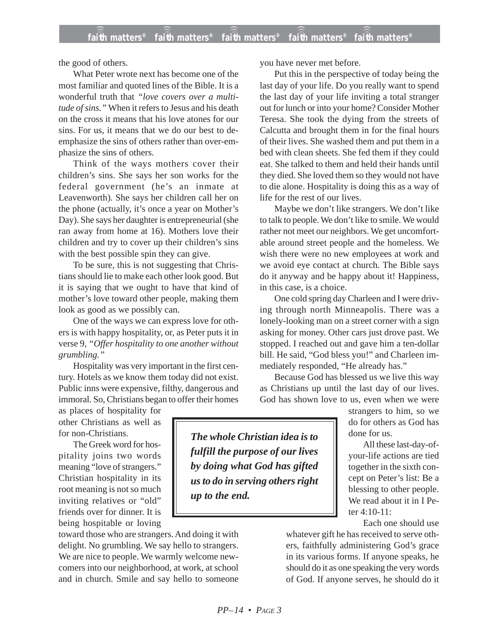the good of others.

What Peter wrote next has become one of the most familiar and quoted lines of the Bible. It is a wonderful truth that *"love covers over a multitude of sins."* When it refers to Jesus and his death on the cross it means that his love atones for our sins. For us, it means that we do our best to deemphasize the sins of others rather than over-emphasize the sins of others.

Think of the ways mothers cover their children's sins. She says her son works for the federal government (he's an inmate at Leavenworth). She says her children call her on the phone (actually, it's once a year on Mother's Day). She says her daughter is entrepreneurial (she ran away from home at 16). Mothers love their children and try to cover up their children's sins with the best possible spin they can give.

To be sure, this is not suggesting that Christians should lie to make each other look good. But it is saying that we ought to have that kind of mother's love toward other people, making them look as good as we possibly can.

One of the ways we can express love for others is with happy hospitality, or, as Peter puts it in verse 9, *"Offer hospitality to one another without grumbling."*

Hospitality was very important in the first century. Hotels as we know them today did not exist. Public inns were expensive, filthy, dangerous and immoral. So, Christians began to offer their homes

as places of hospitality for other Christians as well as for non-Christians.

The Greek word for hospitality joins two words meaning "love of strangers." Christian hospitality in its root meaning is not so much inviting relatives or "old" friends over for dinner. It is being hospitable or loving

toward those who are strangers. And doing it with delight. No grumbling. We say hello to strangers. We are nice to people. We warmly welcome newcomers into our neighborhood, at work, at school and in church. Smile and say hello to someone you have never met before.

Put this in the perspective of today being the last day of your life. Do you really want to spend the last day of your life inviting a total stranger out for lunch or into your home? Consider Mother Teresa. She took the dying from the streets of Calcutta and brought them in for the final hours of their lives. She washed them and put them in a bed with clean sheets. She fed them if they could eat. She talked to them and held their hands until they died. She loved them so they would not have to die alone. Hospitality is doing this as a way of life for the rest of our lives.

Maybe we don't like strangers. We don't like to talk to people. We don't like to smile. We would rather not meet our neighbors. We get uncomfortable around street people and the homeless. We wish there were no new employees at work and we avoid eye contact at church. The Bible says do it anyway and be happy about it! Happiness, in this case, is a choice.

One cold spring day Charleen and I were driving through north Minneapolis. There was a lonely-looking man on a street corner with a sign asking for money. Other cars just drove past. We stopped. I reached out and gave him a ten-dollar bill. He said, "God bless you!" and Charleen immediately responded, "He already has."

Because God has blessed us we live this way as Christians up until the last day of our lives. God has shown love to us, even when we were

> strangers to him, so we do for others as God has done for us.

All these last-day-ofyour-life actions are tied together in the sixth concept on Peter's list: Be a blessing to other people. We read about it in I Peter 4:10-11:

Each one should use

whatever gift he has received to serve others, faithfully administering God's grace in its various forms. If anyone speaks, he should do it as one speaking the very words of God. If anyone serves, he should do it

*The whole Christian idea is to fulfill the purpose of our lives by doing what God has gifted us to do in serving others right up to the end.*